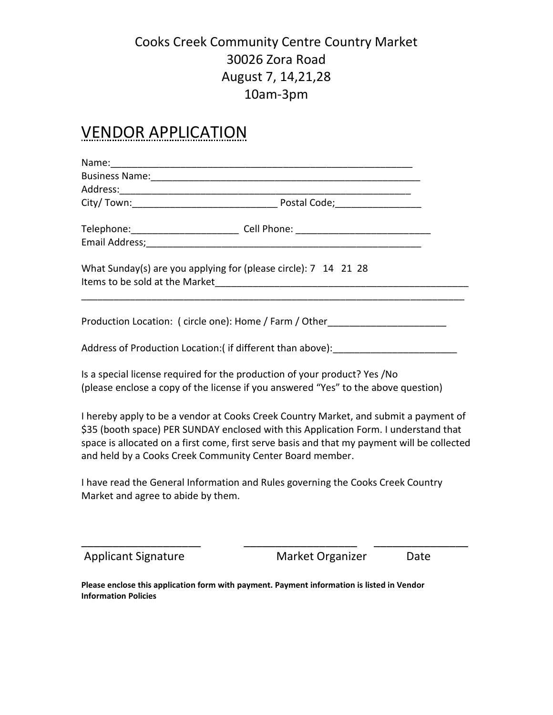#### Cooks Creek Community Centre Country Market 30026 Zora Road August 7, 14,21,28 10am-3pm

### VENDOR APPLICATION

| Telephone: ________________________________ Cell Phone: _________________________                                                                                                                                                                                                                                                       |
|-----------------------------------------------------------------------------------------------------------------------------------------------------------------------------------------------------------------------------------------------------------------------------------------------------------------------------------------|
| What Sunday(s) are you applying for (please circle): 7 14 21 28                                                                                                                                                                                                                                                                         |
| Production Location: ( circle one): Home / Farm / Other                                                                                                                                                                                                                                                                                 |
| Address of Production Location:(if different than above): [10] [20] [20] Address of Production Location:(if different than above):                                                                                                                                                                                                      |
| Is a special license required for the production of your product? Yes /No<br>(please enclose a copy of the license if you answered "Yes" to the above question)                                                                                                                                                                         |
| I hereby apply to be a vendor at Cooks Creek Country Market, and submit a payment of<br>\$35 (booth space) PER SUNDAY enclosed with this Application Form. I understand that<br>space is allocated on a first come, first serve basis and that my payment will be collected<br>and held by a Cooks Creek Community Center Board member. |
| I have read the General Information and Rules governing the Cooks Creek Country<br>Market and agree to abide by them.                                                                                                                                                                                                                   |
|                                                                                                                                                                                                                                                                                                                                         |

Applicant Signature Market Organizer Date

**Please enclose this application form with payment. Payment information is listed in Vendor Information Policies**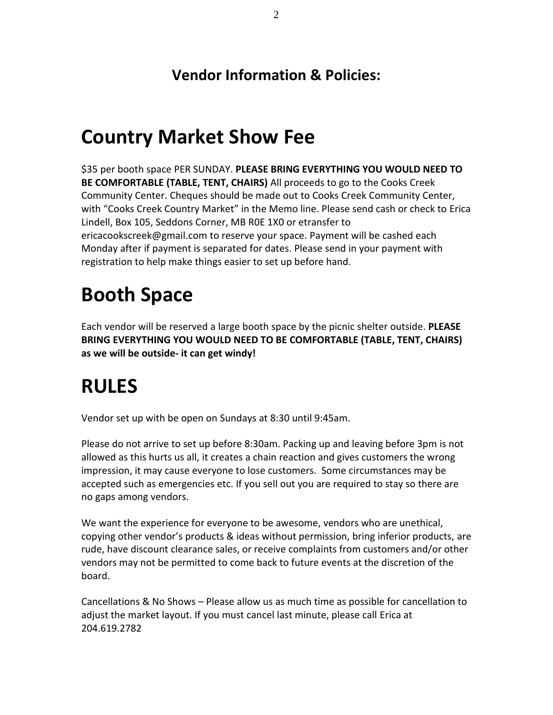#### **Vendor Information & Policies:**

### **Country Market Show Fee**

\$35 per booth space PER SUNDAY. **PLEASE BRING EVERYTHING YOU WOULD NEED TO BE COMFORTABLE (TABLE, TENT, CHAIRS)** All proceeds to go to the Cooks Creek Community Center. Cheques should be made out to Cooks Creek Community Center, with "Cooks Creek Country Market" in the Memo line. Please send cash or check to Erica Lindell, Box 105, Seddons Corner, MB R0E 1X0 or etransfer to ericacookscreek@gmail.com to reserve your space. Payment will be cashed each Monday after if payment is separated for dates. Please send in your payment with registration to help make things easier to set up before hand.

## **Booth Space**

Each vendor will be reserved a large booth space by the picnic shelter outside. **PLEASE BRING EVERYTHING YOU WOULD NEED TO BE COMFORTABLE (TABLE, TENT, CHAIRS) as we will be outside- it can get windy!**

## **RULES**

Vendor set up with be open on Sundays at 8:30 until 9:45am.

Please do not arrive to set up before 8:30am. Packing up and leaving before 3pm is not allowed as this hurts us all, it creates a chain reaction and gives customers the wrong impression, it may cause everyone to lose customers. Some circumstances may be accepted such as emergencies etc. If you sell out you are required to stay so there are no gaps among vendors.

We want the experience for everyone to be awesome, vendors who are unethical, copying other vendor's products & ideas without permission, bring inferior products, are rude, have discount clearance sales, or receive complaints from customers and/or other vendors may not be permitted to come back to future events at the discretion of the board.

Cancellations & No Shows – Please allow us as much time as possible for cancellation to adjust the market layout. If you must cancel last minute, please call Erica at 204.619.2782